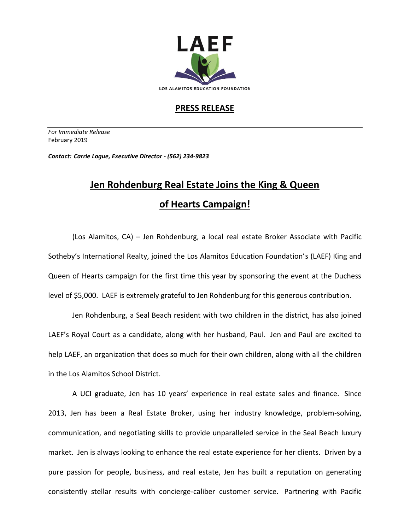

## **PRESS RELEASE**

*For Immediate Release*  February 2019

*Contact: Carrie Logue, Executive Director - (562) 234-9823*

## **Jen Rohdenburg Real Estate Joins the King & Queen of Hearts Campaign!**

(Los Alamitos, CA) – Jen Rohdenburg, a local real estate Broker Associate with Pacific Sotheby's International Realty, joined the Los Alamitos Education Foundation's (LAEF) King and Queen of Hearts campaign for the first time this year by sponsoring the event at the Duchess level of \$5,000. LAEF is extremely grateful to Jen Rohdenburg for this generous contribution.

Jen Rohdenburg, a Seal Beach resident with two children in the district, has also joined LAEF's Royal Court as a candidate, along with her husband, Paul. Jen and Paul are excited to help LAEF, an organization that does so much for their own children, along with all the children in the Los Alamitos School District.

A UCI graduate, Jen has 10 years' experience in real estate sales and finance. Since 2013, Jen has been a Real Estate Broker, using her industry knowledge, problem-solving, communication, and negotiating skills to provide unparalleled service in the Seal Beach luxury market. Jen is always looking to enhance the real estate experience for her clients. Driven by a pure passion for people, business, and real estate, Jen has built a reputation on generating consistently stellar results with concierge-caliber customer service. Partnering with Pacific